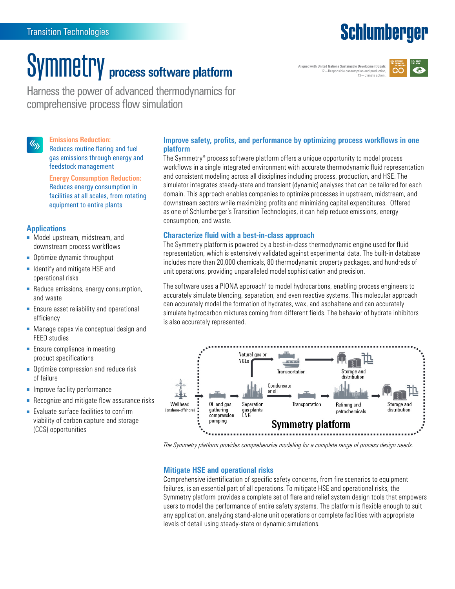### **Schlumberger**

## Symmetry **process software platform**

**Aligned with United Nations Sustainable Development Goals:** 12—Responsible consumption and production, 13-Climate action



Harness the power of advanced thermodynamics for comprehensive process flow simulation

#### **Emissions Reduction:**  $\langle \zeta_{\lambda} \rangle$

Reduces routine flaring and fuel gas emissions through energy and feedstock management

**Energy Consumption Reduction:** Reduces energy consumption in facilities at all scales, from rotating equipment to entire plants

#### **Applications**

- Model upstream, midstream, and downstream process workflows
- Optimize dynamic throughput
- Identify and mitigate HSE and operational risks
- Reduce emissions, energy consumption, and waste
- Ensure asset reliability and operational efficiency
- Manage capex via conceptual design and FEED studies
- Ensure compliance in meeting product specifications
- Optimize compression and reduce risk of failure
- Improve facility performance
- Recognize and mitigate flow assurance risks
- Evaluate surface facilities to confirm viability of carbon capture and storage (CCS) opportunities

#### **Improve safety, profits, and performance by optimizing process workflows in one platform**

The Symmetry\* process software platform offers a unique opportunity to model process workflows in a single integrated environment with accurate thermodynamic fluid representation and consistent modeling across all disciplines including process, production, and HSE. The simulator integrates steady-state and transient (dynamic) analyses that can be tailored for each domain. This approach enables companies to optimize processes in upstream, midstream, and downstream sectors while maximizing profits and minimizing capital expenditures. Offered as one of Schlumberger's Transition Technologies, it can help reduce emissions, energy consumption, and waste.

#### **Characterize fluid with a best-in-class approach**

The Symmetry platform is powered by a best-in-class thermodynamic engine used for fluid representation, which is extensively validated against experimental data. The built-in database includes more than 20,000 chemicals, 80 thermodynamic property packages, and hundreds of unit operations, providing unparalleled model sophistication and precision.

The software uses a PIONA approach† to model hydrocarbons, enabling process engineers to accurately simulate blending, separation, and even reactive systems. This molecular approach can accurately model the formation of hydrates, wax, and asphaltene and can accurately simulate hydrocarbon mixtures coming from different fields. The behavior of hydrate inhibitors is also accurately represented.



*The Symmetry platform provides comprehensive modeling for a complete range of process design needs.*

#### **Mitigate HSE and operational risks**

Comprehensive identification of specific safety concerns, from fire scenarios to equipment failures, is an essential part of all operations. To mitigate HSE and operational risks, the Symmetry platform provides a complete set of flare and relief system design tools that empowers users to model the performance of entire safety systems. The platform is flexible enough to suit any application, analyzing stand-alone unit operations or complete facilities with appropriate levels of detail using steady-state or dynamic simulations.